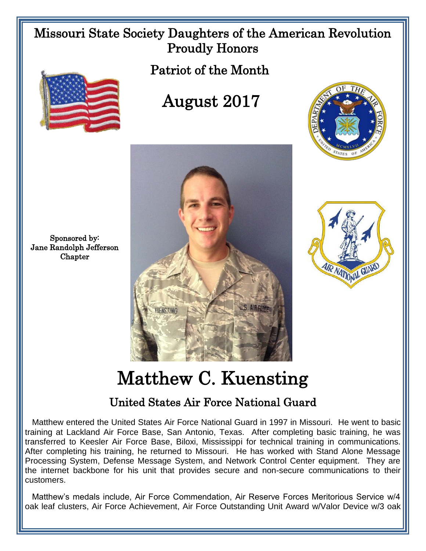## Missouri State Society Daughters of the American Revolution Proudly Honors

Patriot of the Month



## August 2017





Sponsored by: Jane Randolph Jefferson **Chapter** 

## Matthew C. Kuensting

## United States Air Force National Guard

 Matthew entered the United States Air Force National Guard in 1997 in Missouri. He went to basic training at Lackland Air Force Base, San Antonio, Texas. After completing basic training, he was transferred to Keesler Air Force Base, Biloxi, Mississippi for technical training in communications. After completing his training, he returned to Missouri. He has worked with Stand Alone Message Processing System, Defense Message System, and Network Control Center equipment. They are the internet backbone for his unit that provides secure and non-secure communications to their customers.

 Matthew's medals include, Air Force Commendation, Air Reserve Forces Meritorious Service w/4 oak leaf clusters, Air Force Achievement, Air Force Outstanding Unit Award w/Valor Device w/3 oak